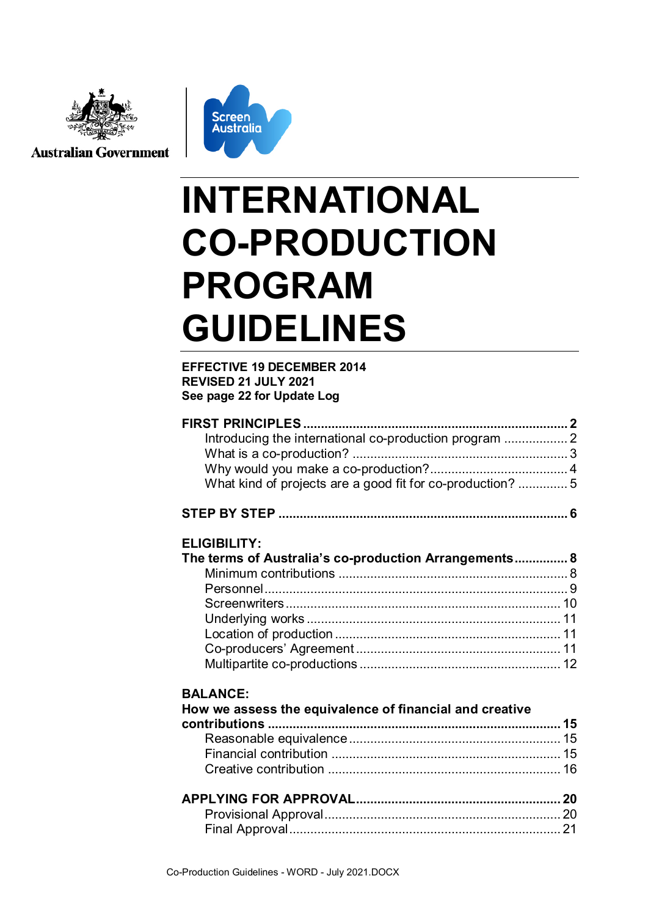

**Australian Government** 



# **INTERNATIONAL CO-PRODUCTION PROGRAM GUIDELINES**

#### **EFFECTIVE 19 DECEMBER 2014 REVISED 21 JULY 2021 See page [22](#page-21-0) for Update Log**

| Introducing the international co-production program  2     |  |
|------------------------------------------------------------|--|
|                                                            |  |
|                                                            |  |
|                                                            |  |
| What kind of projects are a good fit for co-production?  5 |  |
|                                                            |  |
|                                                            |  |
|                                                            |  |
| <b>ELIGIBILITY:</b>                                        |  |
|                                                            |  |
| The terms of Australia's co-production Arrangements 8      |  |
|                                                            |  |
|                                                            |  |
|                                                            |  |
|                                                            |  |
|                                                            |  |
|                                                            |  |
|                                                            |  |
|                                                            |  |
|                                                            |  |
| <b>BALANCE:</b>                                            |  |
| How we assess the equivalence of financial and creative    |  |
|                                                            |  |
|                                                            |  |
|                                                            |  |
|                                                            |  |
|                                                            |  |
|                                                            |  |
|                                                            |  |
|                                                            |  |
|                                                            |  |
|                                                            |  |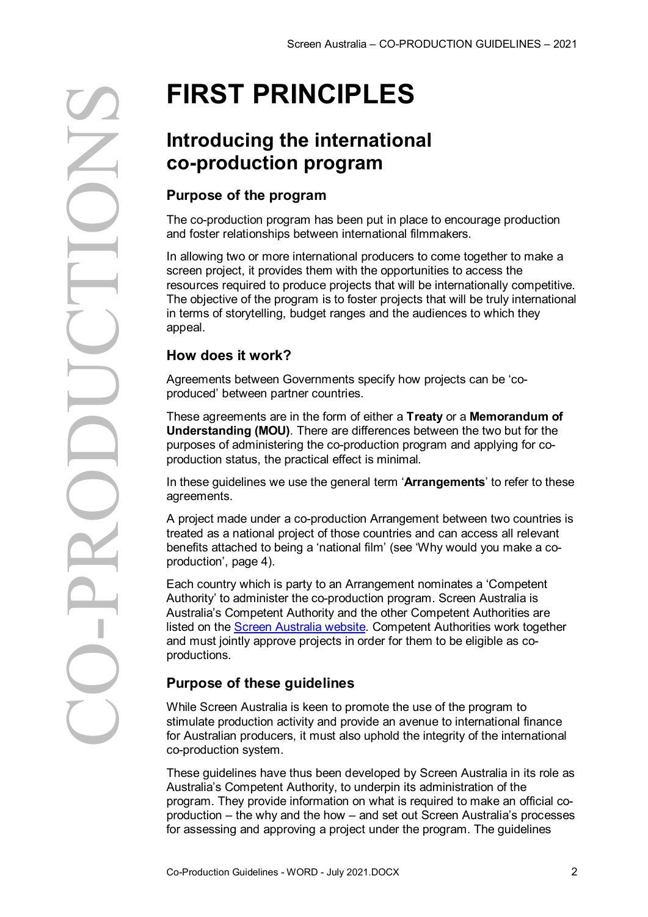### <span id="page-1-1"></span><span id="page-1-0"></span>**Introducing the international co-production program**

### **Purpose of the program**

The co-production program has been put in place to encourage production and foster relationships between international filmmakers.

In allowing two or more international producers to come together to make a screen project, it provides them with the opportunities to access the resources required to produce projects that will be internationally competitive. The objective of the program is to foster projects that will be truly international in terms of storytelling, budget ranges and the audiences to which they appeal.

### **How does it work?**

Agreements between Governments specify how projects can be 'coproduced' between partner countries.

These agreements are in the form of either a **Treaty** or a **Memorandum of Understanding (MOU)**. There are differences between the two but for the purposes of administering the co-production program and applying for coproduction status, the practical effect is minimal.

In these guidelines we use the general term '**Arrangements**' to refer to these agreements.

A project made under a co-production Arrangement between two countries is treated as a national project of those countries and can access all relevant benefits attached to being a 'national film' (see 'Why would you make a coproduction', page [4\)](#page-3-0).

Each country which is party to an Arrangement nominates a 'Competent Authority' to administer the co-production program. Screen Australia is Australia's Competent Authority and the other Competent Authorities are listed on the [Screen Australia website.](http://www.screenaustralia.gov.au/coproductions/treaties_mous.aspx) Competent Authorities work together and must jointly approve projects in order for them to be eligible as coproductions.

### **Purpose of these guidelines**

While Screen Australia is keen to promote the use of the program to stimulate production activity and provide an avenue to international finance for Australian producers, it must also uphold the integrity of the international co-production system.

These guidelines have thus been developed by Screen Australia in its role as Australia's Competent Authority, to underpin its administration of the program. They provide information on what is required to make an official coproduction – the why and the how – and set out Screen Australia's processes for assessing and approving a project under the program. The guidelines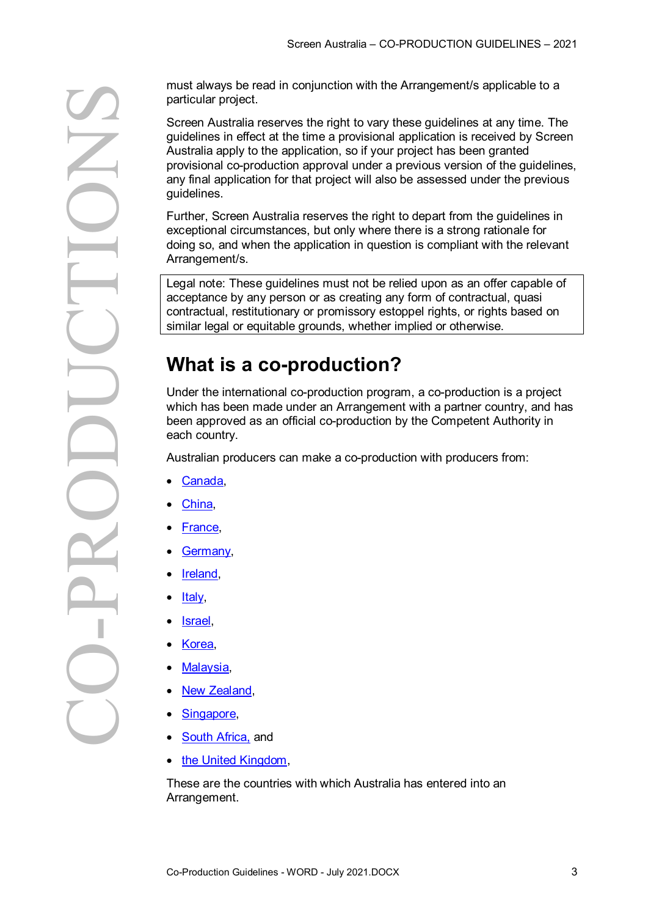particular project.

must always be read in conjunction with the Arrangement/s applicable to a<br>particular project.<br>Screen Australia reserves the right to vary these guidelines at any time. The<br>distribution is not the three in the three provisi Screen Australia reserves the right to vary these guidelines at any time. The guidelines in effect at the time a provisional application is received by Screen Australia apply to the application, so if your project has been granted provisional co-production approval under a previous version of the guidelines, any final application for that project will also be assessed under the previous guidelines.

Further, Screen Australia reserves the right to depart from the guidelines in exceptional circumstances, but only where there is a strong rationale for doing so, and when the application in question is compliant with the relevant Arrangement/s.

Legal note: These guidelines must not be relied upon as an offer capable of acceptance by any person or as creating any form of contractual, quasi contractual, restitutionary or promissory estoppel rights, or rights based on similar legal or equitable grounds, whether implied or otherwise.

## <span id="page-2-0"></span>**What is a co-production?**

Under the international co-production program, a co-production is a project which has been made under an Arrangement with a partner country, and has been approved as an official co-production by the Competent Authority in each country.

Australian producers can make a co-production with producers from:

- [Canada,](http://www.screenaustralia.gov.au/coproductions/partner_countries/canada_new.aspx)
- [China,](http://www.screenaustralia.gov.au/coproductions/partner_countries/china.aspx)
- [France,](http://www.screenaustralia.gov.au/coproductions/partner_countries/France.aspx)
- [Germany,](http://www.screenaustralia.gov.au/coproductions/partner_countries/germany.aspx)
- [Ireland,](http://www.screenaustralia.gov.au/coproductions/partner_countries/ireland.aspx)
- ltaly,
- **Israel**
- [Korea,](http://www.screenaustralia.gov.au/coproductions/partner_countries/korea.aspx)
- [Malaysia,](https://www.screenaustralia.gov.au/funding-and-support/co-production-program/partner-countries/malaysia)
- **New Zealand.**
- [Singapore,](http://www.screenaustralia.gov.au/coproductions/partner_countries/singapore.aspx)
- [South Africa,](http://www.screenaustralia.gov.au/coproductions/partner_countries/south_africa.aspx) and
- [the United Kingdom,](http://www.screenaustralia.gov.au/coproductions/partner_countries/uk_and_northern_ireland.aspx)

These are the countries with which Australia has entered into an Arrangement.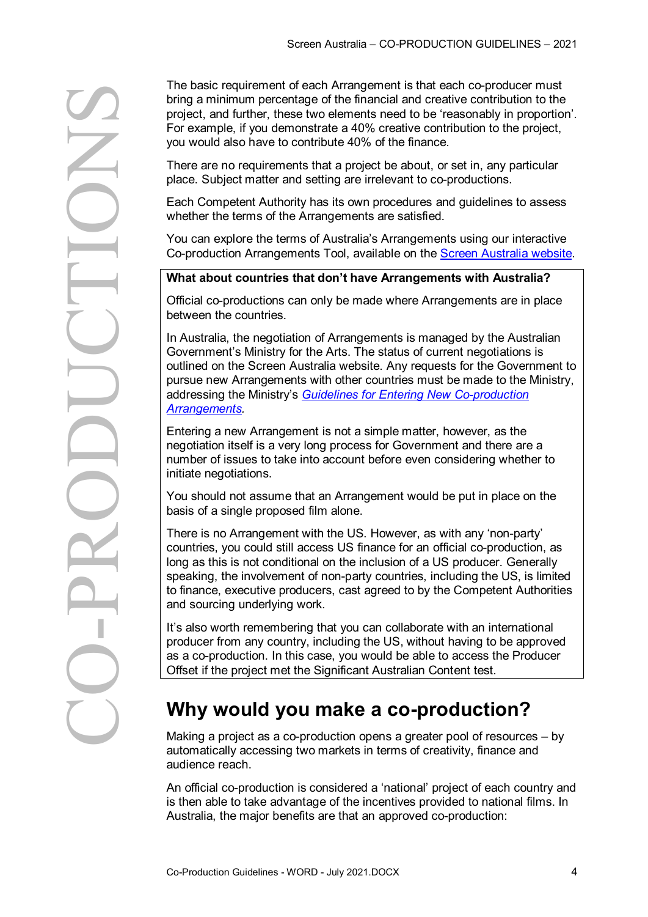bring a minimum percentage of the financial and creative contribution to the project, and further, these two elements need to be 'reasonably in proportion'. For example, if you demonstrate a 40% creative contribution to the project, you would also have to contribute 40% of the finance.

There are no requirements that a project be about, or set in, any particular place. Subject matter and setting are irrelevant to co-productions.

Each Competent Authority has its own procedures and guidelines to assess whether the terms of the Arrangements are satisfied.

You can explore the terms of Australia's Arrangements using our interactive Co-production Arrangements Tool, available on the [Screen Australia](http://www.screenaustralia.gov.au/coproductions/guidelines/step_by_step.aspx) website.

#### <span id="page-3-0"></span>**What about countries that don't have Arrangements with Australia?**

Official co-productions can only be made where Arrangements are in place between the countries.

In Australia, the negotiation of Arrangements is managed by the Australian Government's Ministry for the Arts. The status of current negotiations is outlined on the Screen Australia website. Any requests for the Government to pursue new Arrangements with other countries must be made to the Ministry, addressing the Ministry's *[Guidelines for Entering New Co-production](http://arts.gov.au/film-tv/co-production)  [Arrangements.](http://arts.gov.au/film-tv/co-production)*

Entering a new Arrangement is not a simple matter, however, as the negotiation itself is a very long process for Government and there are a number of issues to take into account before even considering whether to initiate negotiations.

You should not assume that an Arrangement would be put in place on the basis of a single proposed film alone.

The basic requirement of each Arrangement is end to be reasonably in proportion to the project. These two elements need to be reasonably in proportions of the rangements and further, these two elements are are no requireme There is no Arrangement with the US. However, as with any 'non-party' countries, you could still access US finance for an official co-production, as long as this is not conditional on the inclusion of a US producer. Generally speaking, the involvement of non-party countries, including the US, is limited to finance, executive producers, cast agreed to by the Competent Authorities and sourcing underlying work.

It's also worth remembering that you can collaborate with an international producer from any country, including the US, without having to be approved as a co-production. In this case, you would be able to access the Producer Offset if the project met the Significant Australian Content test.

## **Why would you make a co-production?**

Making a project as a co-production opens a greater pool of resources – by automatically accessing two markets in terms of creativity, finance and audience reach.

An official co-production is considered a 'national' project of each country and is then able to take advantage of the incentives provided to national films. In Australia, the major benefits are that an approved co-production: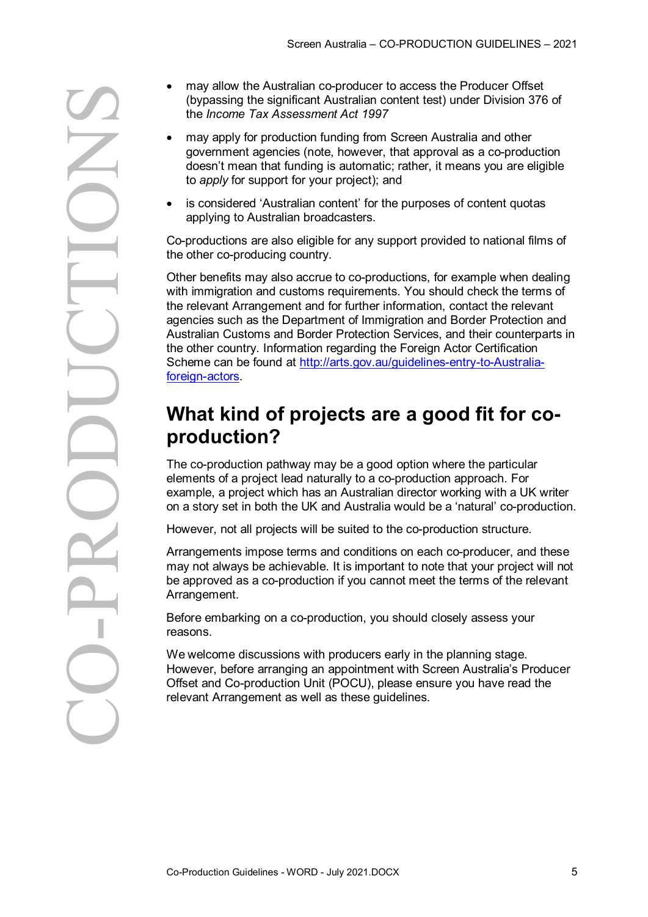- (bypassing the significant Australian content test) under Division 376 of the *Income Tax Assessment Act 1997*
- may apply for production funding from Screen Australia and other government agencies (note, however, that approval as a co-production doesn't mean that funding is automatic; rather, it means you are eligible to *apply* for support for your project); and
- is considered 'Australian content' for the purposes of content quotas applying to Australian broadcasters.

Co-productions are also eligible for any support provided to national films of the other co-producing country.

-may allow the Australian co-production funding from Screen Since Producer Control (bypassing the significant Australian content that approved as a co-production experiment and production funding from Screen Australia and Other benefits may also accrue to co-productions, for example when dealing with immigration and customs requirements. You should check the terms of the relevant Arrangement and for further information, contact the relevant agencies such as the Department of Immigration and Border Protection and Australian Customs and Border Protection Services, and their counterparts in the other country. Information regarding the Foreign Actor Certification Scheme can be found at [http://arts.gov.au/guidelines-entry-to-Australia](http://arts.gov.au/guidelines-entry-to-Australia-foreign-actors)[foreign-actors.](http://arts.gov.au/guidelines-entry-to-Australia-foreign-actors)

### <span id="page-4-0"></span>**What kind of projects are a good fit for coproduction?**

The co-production pathway may be a good option where the particular elements of a project lead naturally to a co-production approach. For example, a project which has an Australian director working with a UK writer on a story set in both the UK and Australia would be a 'natural' co-production.

However, not all projects will be suited to the co-production structure.

Arrangements impose terms and conditions on each co-producer, and these may not always be achievable. It is important to note that your project will not be approved as a co-production if you cannot meet the terms of the relevant Arrangement.

Before embarking on a co-production, you should closely assess your reasons.

<span id="page-4-1"></span>We welcome discussions with producers early in the planning stage. However, before arranging an appointment with Screen Australia's Producer Offset and Co-production Unit (POCU), please ensure you have read the relevant Arrangement as well as these guidelines.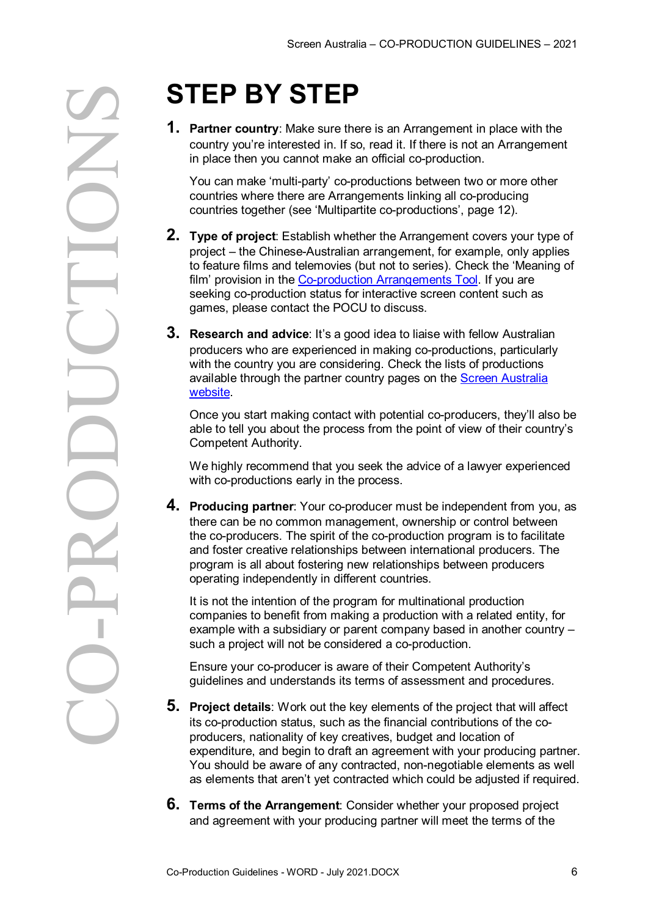**1. Partner country**: Make sure there is an Arrangement in place with the country you're interested in. If so, read it. If there is not an Arrangement in place then you cannot make an official co-production.

You can make 'multi-party' co-productions between two or more other countries where there are Arrangements linking all co-producing countries together (see 'Multipartite co-productions', page [12\)](#page-11-0).

- **2. Type of project**: Establish whether the Arrangement covers your type of project – the Chinese-Australian arrangement, for example, only applies to feature films and telemovies (but not to series). Check the 'Meaning of film' provision in the [Co-production Arrangements Tool.](http://www.screenaustralia.gov.au/coproductions/guidelines/step_by_step.aspx) If you are seeking co-production status for interactive screen content such as games, please contact the POCU to discuss.
- **3. Research and advice**: It's a good idea to liaise with fellow Australian producers who are experienced in making co-productions, particularly with the country you are considering. Check the lists of productions available through the partner country pages on the [Screen Australia](http://www.screenaustralia.gov.au/coproductions/treaties_mous.aspx)  [website.](http://www.screenaustralia.gov.au/coproductions/treaties_mous.aspx)

Once you start making contact with potential co-producers, they'll also be able to tell you about the process from the point of view of their country's Competent Authority.

We highly recommend that you seek the advice of a lawyer experienced with co-productions early in the process.

**4. Producing partner**: Your co-producer must be independent from you, as there can be no common management, ownership or control between the co-producers. The spirit of the co-production program is to facilitate and foster creative relationships between international producers. The program is all about fostering new relationships between producers operating independently in different countries.

It is not the intention of the program for multinational production companies to benefit from making a production with a related entity, for example with a subsidiary or parent company based in another country – such a project will not be considered a co-production.

Ensure your co-producer is aware of their Competent Authority's guidelines and understands its terms of assessment and procedures.

- **5. Project details**: Work out the key elements of the project that will affect its co-production status, such as the financial contributions of the coproducers, nationality of key creatives, budget and location of expenditure, and begin to draft an agreement with your producing partner. You should be aware of any contracted, non-negotiable elements as well as elements that aren't yet contracted which could be adjusted if required.
- **6. Terms of the Arrangement**: Consider whether your proposed project and agreement with your producing partner will meet the terms of the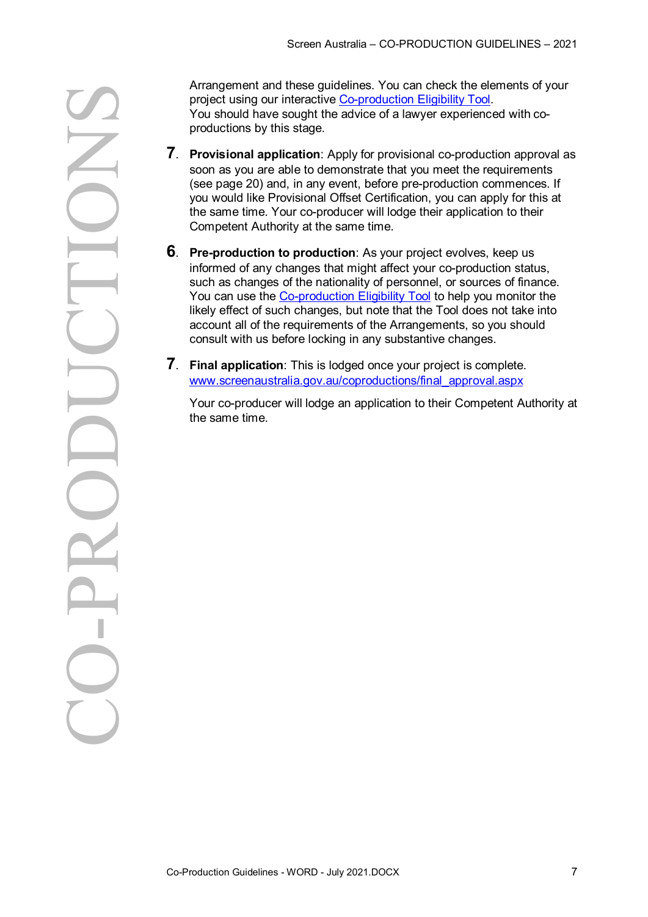project using our interactive [Co-production Eligibility Tool.](http://www.screenaustralia.gov.au/coproductions/guidelines/step_by_step.aspx) You should have sought the advice of a lawyer experienced with coproductions by this stage.

- **7**. **Provisional application**: Apply for provisional co-production approval as soon as you are able to demonstrate that you meet the requirements (see page [20\)](#page-19-1) and, in any event, before pre-production commences. If you would like Provisional Offset Certification, you can apply for this at the same time. Your co-producer will lodge their application to their Competent Authority at the same time.
- For the second of the application to the define the set of the elements of your should have sought the advice of a lawyer experienced with correlations by this stage.<br>The advice of a lawyer experienced with correlations by **6**. **Pre-production to production**: As your project evolves, keep us informed of any changes that might affect your co-production status, such as changes of the nationality of personnel, or sources of finance. You can use the [Co-production Eligibility Tool](http://www.screenaustralia.gov.au/coproductions/guidelines/step_by_step.aspx) to help you monitor the likely effect of such changes, but note that the Tool does not take into account all of the requirements of the Arrangements, so you should consult with us before locking in any substantive changes.
	- **7**. **Final application**: This is lodged once your project is complete. [www.screenaustralia.gov.au/coproductions/final\\_approval.aspx](http://www.screenaustralia.gov.au/coproductions/final_approval.aspx)

Your co-producer will lodge an application to their Competent Authority at the same time.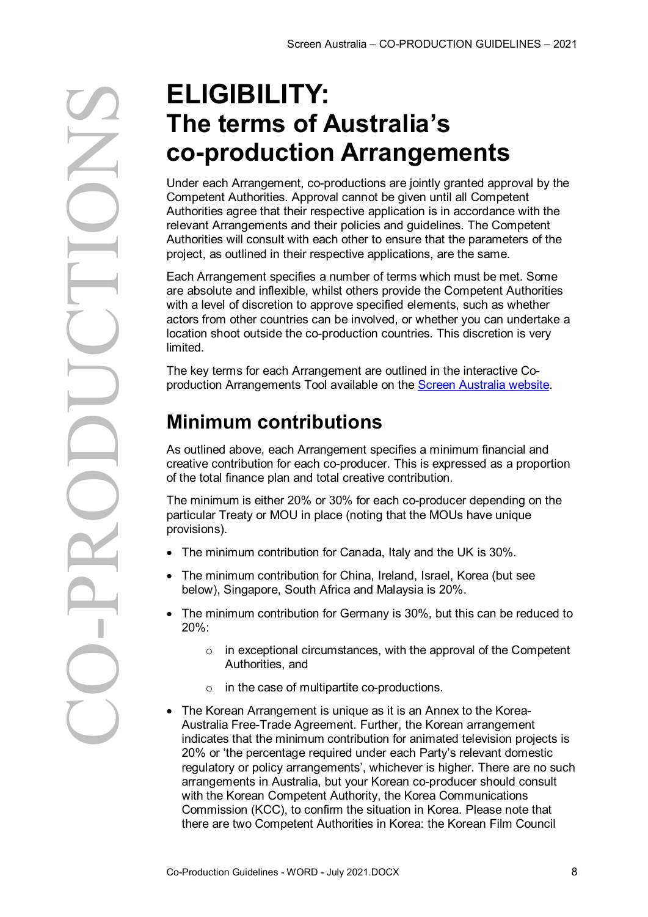**CO ELIGIBILITY:**<br>
The terms of *J*<br>
Co-production<br>
Under each Arrangement, co-p<br>
Competent Authorities. Approv<br>
Authorities agree that their rest<br>
relevant Arrangements and the<br>
project, as outlined in their rest<br>
are absolu

# <span id="page-7-0"></span>**The terms of Australia's co-production Arrangements**

Under each Arrangement, co-productions are jointly granted approval by the Competent Authorities. Approval cannot be given until all Competent Authorities agree that their respective application is in accordance with the relevant Arrangements and their policies and guidelines. The Competent Authorities will consult with each other to ensure that the parameters of the project, as outlined in their respective applications, are the same.

Each Arrangement specifies a number of terms which must be met. Some are absolute and inflexible, whilst others provide the Competent Authorities with a level of discretion to approve specified elements, such as whether actors from other countries can be involved, or whether you can undertake a location shoot outside the co-production countries. This discretion is very limited.

The key terms for each Arrangement are outlined in the interactive Coproduction Arrangements Tool available on the [Screen Australia website.](http://www.screenaustralia.gov.au/coproductions/guidelines/step_by_step.aspx)

### <span id="page-7-1"></span>**Minimum contributions**

As outlined above, each Arrangement specifies a minimum financial and creative contribution for each co-producer. This is expressed as a proportion of the total finance plan and total creative contribution.

The minimum is either 20% or 30% for each co-producer depending on the particular Treaty or MOU in place (noting that the MOUs have unique provisions).

- The minimum contribution for Canada, Italy and the UK is 30%.
- The minimum contribution for China, Ireland, Israel, Korea (but see below), Singapore, South Africa and Malaysia is 20%.
- The minimum contribution for Germany is 30%, but this can be reduced to 20%:
	- $\circ$  in exceptional circumstances, with the approval of the Competent Authorities, and
	- $\circ$  in the case of multipartite co-productions.
- The Korean Arrangement is unique as it is an Annex to the Korea-Australia Free-Trade Agreement. Further, the Korean arrangement indicates that the minimum contribution for animated television projects is 20% or 'the percentage required under each Party's relevant domestic regulatory or policy arrangements', whichever is higher. There are no such arrangements in Australia, but your Korean co-producer should consult with the Korean Competent Authority, the Korea Communications Commission (KCC), to confirm the situation in Korea. Please note that there are two Competent Authorities in Korea: the Korean Film Council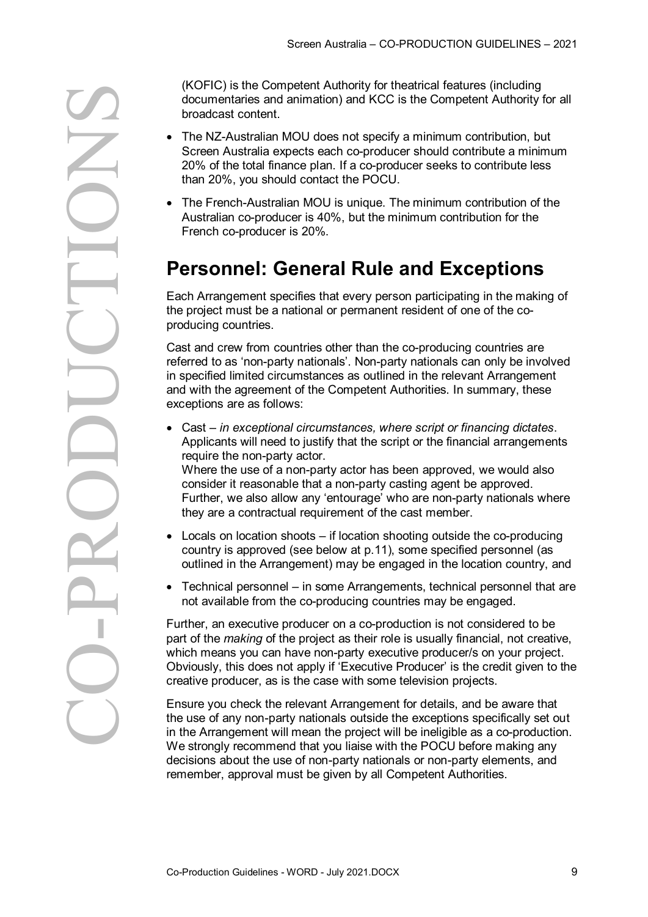documentaries and animation) and KCC is the Competent Authority for all broadcast content.

- The NZ-Australian MOU does not specify a minimum contribution, but Screen Australia expects each co-producer should contribute a minimum 20% of the total finance plan. If a co-producer seeks to contribute less than 20%, you should contact the POCU.
- The French-Australian MOU is unique. The minimum contribution of the Australian co-producer is 40%, but the minimum contribution for the French co-producer is 20%.

### <span id="page-8-0"></span>**Personnel: General Rule and Exceptions**

Each Arrangement specifies that every person participating in the making of the project must be a national or permanent resident of one of the coproducing countries.

Cast and crew from countries other than the co-producing countries are referred to as 'non-party nationals'. Non-party nationals can only be involved in specified limited circumstances as outlined in the relevant Arrangement and with the agreement of the Competent Authorities. In summary, these exceptions are as follows:

- Solicity the Competent Authority for the actual features (including three Competent Authority broadcast content.<br>
The NZ-Australian MOU does not specify a minimum contribution, but the Competent Authority Scenar Australian • Cast *– in exceptional circumstances, where script or financing dictates*. Applicants will need to justify that the script or the financial arrangements require the non-party actor. Where the use of a non-party actor has been approved, we would also consider it reasonable that a non-party casting agent be approved. Further, we also allow any 'entourage' who are non-party nationals where they are a contractual requirement of the cast member.
	- Locals on location shoots if location shooting outside the co-producing country is approved (see below at p.11), some specified personnel (as outlined in the Arrangement) may be engaged in the location country, and
	- Technical personnel in some Arrangements, technical personnel that are not available from the co-producing countries may be engaged.

Further, an executive producer on a co-production is not considered to be part of the *making* of the project as their role is usually financial, not creative, which means you can have non-party executive producer/s on your project. Obviously, this does not apply if 'Executive Producer' is the credit given to the creative producer, as is the case with some television projects.

Ensure you check the relevant Arrangement for details, and be aware that the use of any non-party nationals outside the exceptions specifically set out in the Arrangement will mean the project will be ineligible as a co-production. We strongly recommend that you liaise with the POCU before making any decisions about the use of non-party nationals or non-party elements, and remember, approval must be given by all Competent Authorities.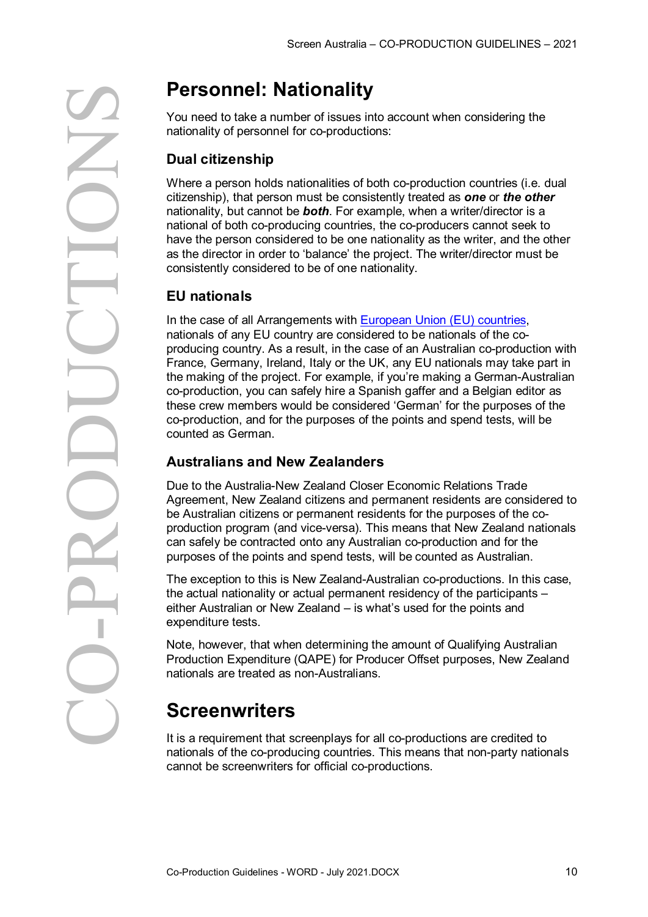You need to take a number of issues into account when considering the nationality of personnel for co-productions:

### **Dual citizenship**

Where a person holds nationalities of both co-production countries (i.e. dual citizenship), that person must be consistently treated as *one* or *the other* nationality, but cannot be *both*. For example, when a writer/director is a national of both co-producing countries, the co-producers cannot seek to have the person considered to be one nationality as the writer, and the other as the director in order to 'balance' the project. The writer/director must be consistently considered to be of one nationality.

### **EU nationals**

In the case of all Arrangements with [European Union \(EU\) countries,](http://europa.eu/abc/european_countries/eu_members/index_en.htm) nationals of any EU country are considered to be nationals of the coproducing country. As a result, in the case of an Australian co-production with France, Germany, Ireland, Italy or the UK, any EU nationals may take part in the making of the project. For example, if you're making a German-Australian co-production, you can safely hire a Spanish gaffer and a Belgian editor as these crew members would be considered 'German' for the purposes of the co-production, and for the purposes of the points and spend tests, will be counted as German.

### **Australians and New Zealanders**

Due to the Australia-New Zealand Closer Economic Relations Trade Agreement, New Zealand citizens and permanent residents are considered to be Australian citizens or permanent residents for the purposes of the coproduction program (and vice-versa). This means that New Zealand nationals can safely be contracted onto any Australian co-production and for the purposes of the points and spend tests, will be counted as Australian.

The exception to this is New Zealand-Australian co-productions. In this case, the actual nationality or actual permanent residency of the participants – either Australian or New Zealand – is what's used for the points and expenditure tests.

Note, however, that when determining the amount of Qualifying Australian Production Expenditure (QAPE) for Producer Offset purposes, New Zealand nationals are treated as non-Australians.

## <span id="page-9-0"></span>**Screenwriters**

It is a requirement that screenplays for all co-productions are credited to nationals of the co-producing countries. This means that non-party nationals cannot be screenwriters for official co-productions.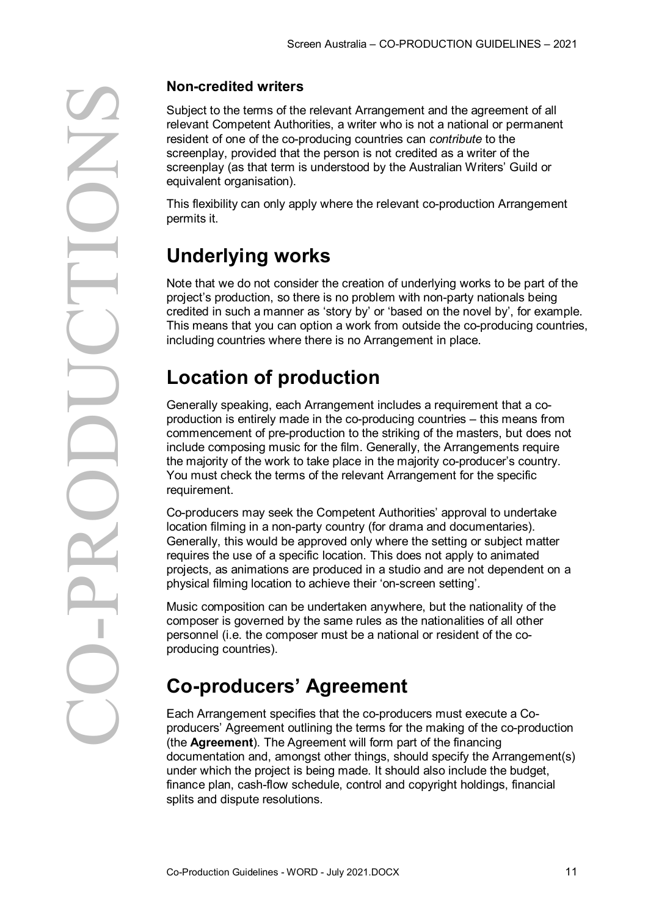Subject to the terms of the relevant Arrangement and the agreement of all relevant Competent Authorities, a writer who is not a national or permanent resident of one of the co-producing countries can *contribute* to the screenplay, provided that the person is not credited as a writer of the screenplay (as that term is understood by the Australian Writers' Guild or equivalent organisation).

This flexibility can only apply where the relevant co-production Arrangement permits it.

### <span id="page-10-0"></span>**Underlying works**

Note that we do not consider the creation of underlying works to be part of the project's production, so there is no problem with non-party nationals being credited in such a manner as 'story by' or 'based on the novel by', for example. This means that you can option a work from outside the co-producing countries, including countries where there is no Arrangement in place.

## <span id="page-10-1"></span>**Location of production**

Generally speaking, each Arrangement includes a requirement that a coproduction is entirely made in the co-producing countries – this means from commencement of pre-production to the striking of the masters, but does not include composing music for the film. Generally, the Arrangements require the majority of the work to take place in the majority co-producer's country. You must check the terms of the relevant Arrangement for the specific requirement.

Co-producers may seek the Competent Authorities' approval to undertake location filming in a non-party country (for drama and documentaries). Generally, this would be approved only where the setting or subject matter requires the use of a specific location. This does not apply to animated projects, as animations are produced in a studio and are not dependent on a physical filming location to achieve their 'on-screen setting'.

Music composition can be undertaken anywhere, but the nationality of the composer is governed by the same rules as the nationalities of all other personnel (i.e. the composer must be a national or resident of the coproducing countries).

## <span id="page-10-2"></span>**Co-producers' Agreement**

Each Arrangement specifies that the co-producers must execute a Coproducers' Agreement outlining the terms for the making of the co-production (the **Agreement**). The Agreement will form part of the financing documentation and, amongst other things, should specify the Arrangement(s) under which the project is being made. It should also include the budget, finance plan, cash-flow schedule, control and copyright holdings, financial splits and dispute resolutions.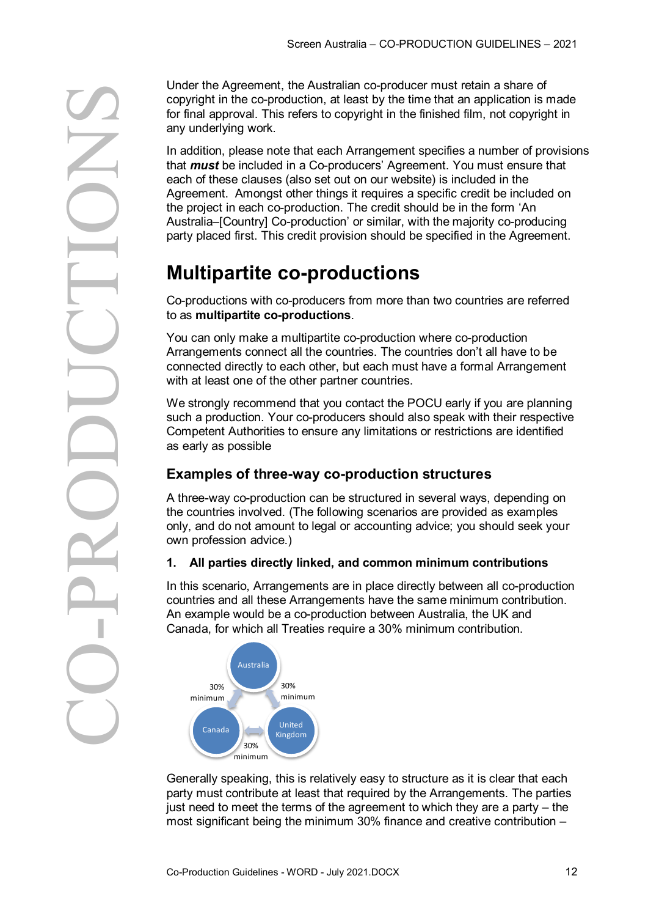copyright in the co-production, at least by the time that an application is made for final approval. This refers to copyright in the finished film, not copyright in any underlying work.

Form that particular the Automatic co-production and the finished film, not copyright and approval. This refers to copyright in the finished film, not copyright any the finished film in the finished film, not copyright any In addition, please note that each Arrangement specifies a number of provisions that *must* be included in a Co-producers' Agreement. You must ensure that each of these clauses (also set out on our website) is included in the Agreement. Amongst other things it requires a specific credit be included on the project in each co-production. The credit should be in the form 'An Australia–[Country] Co-production' or similar, with the majority co-producing party placed first. This credit provision should be specified in the Agreement.

## <span id="page-11-0"></span>**Multipartite co-productions**

Co-productions with co-producers from more than two countries are referred to as **multipartite co-productions**.

You can only make a multipartite co-production where co-production Arrangements connect all the countries. The countries don't all have to be connected directly to each other, but each must have a formal Arrangement with at least one of the other partner countries.

We strongly recommend that you contact the POCU early if you are planning such a production. Your co-producers should also speak with their respective Competent Authorities to ensure any limitations or restrictions are identified as early as possible

### **Examples of three-way co-production structures**

A three-way co-production can be structured in several ways, depending on the countries involved. (The following scenarios are provided as examples only, and do not amount to legal or accounting advice; you should seek your own profession advice.)

#### **1. All parties directly linked, and common minimum contributions**

In this scenario, Arrangements are in place directly between all co-production countries and all these Arrangements have the same minimum contribution. An example would be a co-production between Australia, the UK and Canada, for which all Treaties require a 30% minimum contribution.



Generally speaking, this is relatively easy to structure as it is clear that each party must contribute at least that required by the Arrangements. The parties just need to meet the terms of the agreement to which they are a party – the most significant being the minimum 30% finance and creative contribution –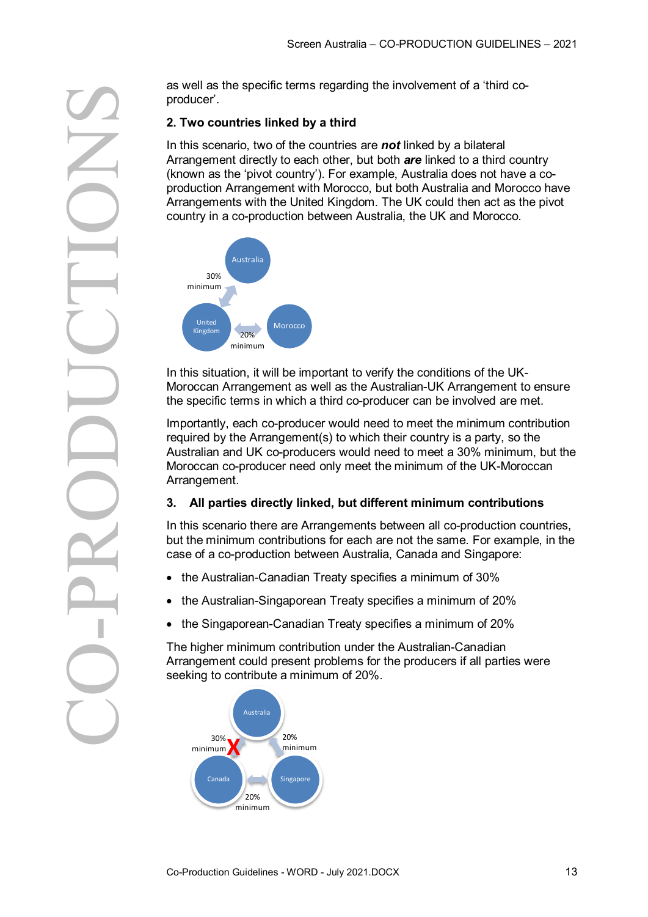**CO** specific terms regarding the involvement of a 'third co-<br>
2. Two countries linked by a third<br>
In this scenario, two of the countries are not linked by a bilateral<br>
Arrangement directly to each other, tu both are linked to

producer'.

#### **2. Two countries linked by a third**

In this scenario, two of the countries are *not* linked by a bilateral Arrangement directly to each other, but both *are* linked to a third country (known as the 'pivot country'). For example, Australia does not have a coproduction Arrangement with Morocco, but both Australia and Morocco have Arrangements with the United Kingdom. The UK could then act as the pivot country in a co-production between Australia, the UK and Morocco.



In this situation, it will be important to verify the conditions of the UK-Moroccan Arrangement as well as the Australian-UK Arrangement to ensure the specific terms in which a third co-producer can be involved are met.

Importantly, each co-producer would need to meet the minimum contribution required by the Arrangement(s) to which their country is a party, so the Australian and UK co-producers would need to meet a 30% minimum, but the Moroccan co-producer need only meet the minimum of the UK-Moroccan Arrangement.

#### **3. All parties directly linked, but different minimum contributions**

In this scenario there are Arrangements between all co-production countries, but the minimum contributions for each are not the same. For example, in the case of a co-production between Australia, Canada and Singapore:

- the Australian-Canadian Treaty specifies a minimum of 30%
- the Australian-Singaporean Treaty specifies a minimum of 20%
- the Singaporean-Canadian Treaty specifies a minimum of 20%

The higher minimum contribution under the Australian-Canadian Arrangement could present problems for the producers if all parties were seeking to contribute a minimum of 20%.

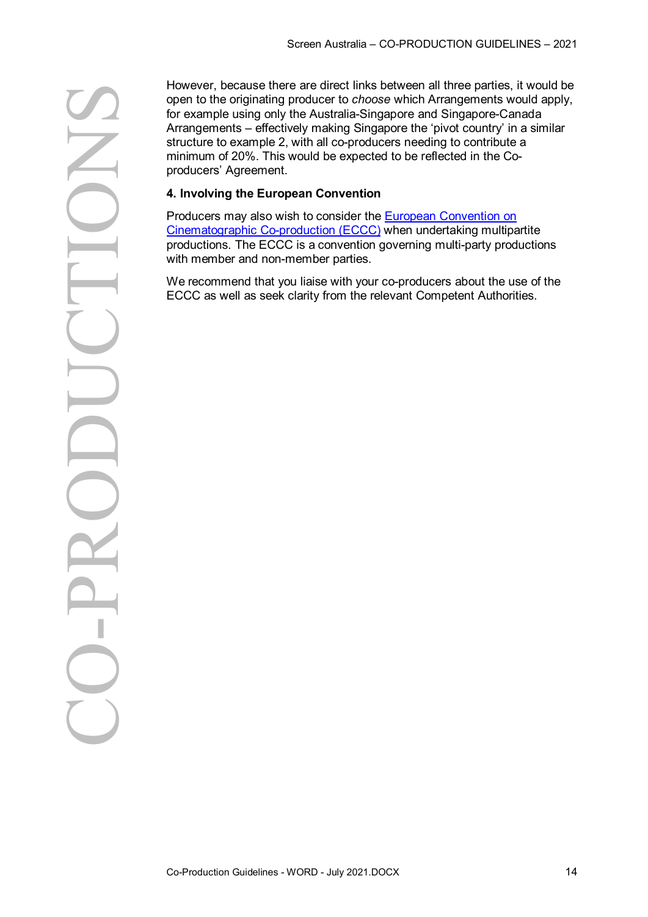Frowers, because there are direct links between all three parties, it would be provided between the complete using only the Australia-Singapore and Singapore Canada in the corrections of the structure to example 2, with al open to the originating producer to *choose* which Arrangements would apply, for example using only the Australia-Singapore and Singapore-Canada Arrangements – effectively making Singapore the 'pivot country' in a similar structure to example 2, with all co-producers needing to contribute a minimum of 20%. This would be expected to be reflected in the Coproducers' Agreement.

#### **4. Involving the European Convention**

Producers may also wish to consider the [European Convention on](http://conventions.coe.int/Treaty/en/Treaties/Html/147.htm)  [Cinematographic Co-production \(ECCC\)](http://conventions.coe.int/Treaty/en/Treaties/Html/147.htm) when undertaking multipartite productions. The ECCC is a convention governing multi-party productions with member and non-member parties.

We recommend that you liaise with your co-producers about the use of the ECCC as well as seek clarity from the relevant Competent Authorities.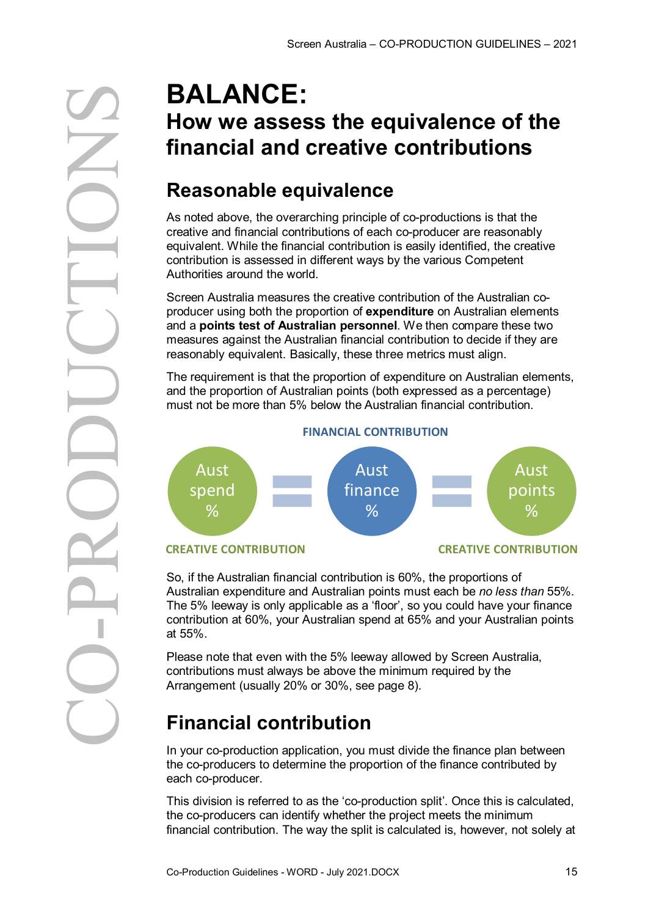# <span id="page-14-0"></span>**How we assess the equivalence of the financial and creative contributions**

## <span id="page-14-1"></span>**Reasonable equivalence**

As noted above, the overarching principle of co-productions is that the creative and financial contributions of each co-producer are reasonably equivalent. While the financial contribution is easily identified, the creative contribution is assessed in different ways by the various Competent Authorities around the world.

Screen Australia measures the creative contribution of the Australian coproducer using both the proportion of **expenditure** on Australian elements and a **points test of Australian personnel**. We then compare these two measures against the Australian financial contribution to decide if they are reasonably equivalent. Basically, these three metrics must align.

The requirement is that the proportion of expenditure on Australian elements, and the proportion of Australian points (both expressed as a percentage) must not be more than 5% below the Australian financial contribution.



So, if the Australian financial contribution is 60%, the proportions of Australian expenditure and Australian points must each be *no less than* 55%. The 5% leeway is only applicable as a 'floor', so you could have your finance contribution at 60%, your Australian spend at 65% and your Australian points at 55%.

Please note that even with the 5% leeway allowed by Screen Australia, contributions must always be above the minimum required by the Arrangement (usually 20% or 30%, see page [8\)](#page-7-1).

## <span id="page-14-2"></span>**Financial contribution**

In your co-production application, you must divide the finance plan between the co-producers to determine the proportion of the finance contributed by each co-producer.

This division is referred to as the 'co-production split'. Once this is calculated, the co-producers can identify whether the project meets the minimum financial contribution. The way the split is calculated is, however, not solely at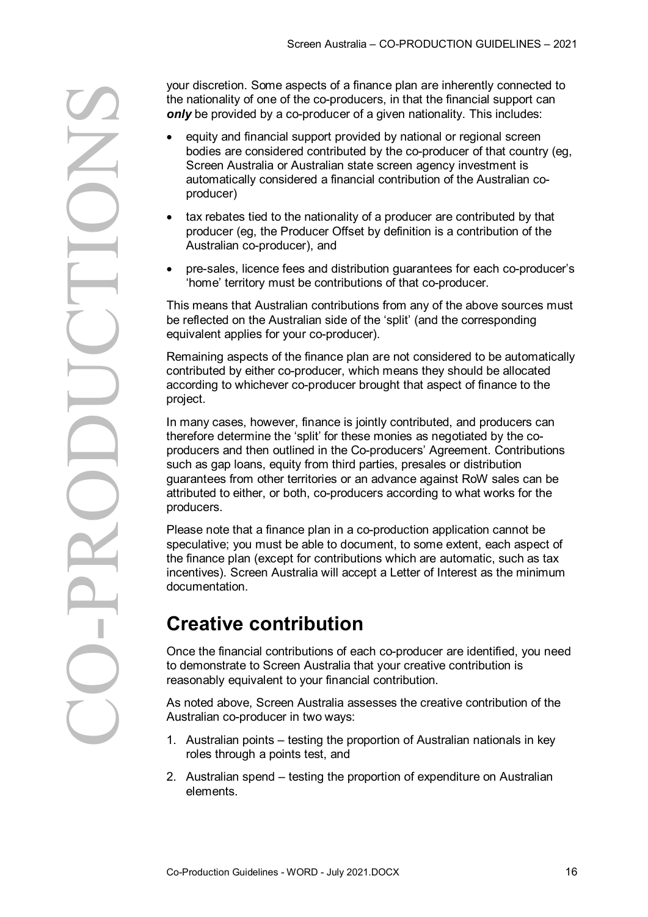the nationality of one of the co-producers, in that the financial support can **only** be provided by a co-producer of a given nationality. This includes:

- equity and financial support provided by national or regional screen bodies are considered contributed by the co-producer of that country (eg, Screen Australia or Australian state screen agency investment is automatically considered a financial contribution of the Australian coproducer)
- tax rebates tied to the nationality of a producer are contributed by that producer (eg, the Producer Offset by definition is a contribution of the Australian co-producer), and
- pre-sales, licence fees and distribution guarantees for each co-producer's 'home' territory must be contributions of that co-producer.

This means that Australian contributions from any of the above sources must be reflected on the Australian side of the 'split' (and the corresponding equivalent applies for your co-producer).

Remaining aspects of the finance plan are not considered to be automatically contributed by either co-producer, which means they should be allocated according to whichever co-producer brought that aspect of finance to the project.

For example and a simple to the splittering of a finance plan are inherently connected to only be provided by a co-producer of a given nationality. This includes:<br>
• equivarial are considered contibuted by the co-producer In many cases, however, finance is jointly contributed, and producers can therefore determine the 'split' for these monies as negotiated by the coproducers and then outlined in the Co-producers' Agreement. Contributions such as gap loans, equity from third parties, presales or distribution guarantees from other territories or an advance against RoW sales can be attributed to either, or both, co-producers according to what works for the producers.

Please note that a finance plan in a co-production application cannot be speculative; you must be able to document, to some extent, each aspect of the finance plan (except for contributions which are automatic, such as tax incentives). Screen Australia will accept a Letter of Interest as the minimum documentation.

## <span id="page-15-0"></span>**Creative contribution**

Once the financial contributions of each co-producer are identified, you need to demonstrate to Screen Australia that your creative contribution is reasonably equivalent to your financial contribution.

As noted above, Screen Australia assesses the creative contribution of the Australian co-producer in two ways:

- 1. Australian points testing the proportion of Australian nationals in key roles through a points test, and
- 2. Australian spend testing the proportion of expenditure on Australian elements.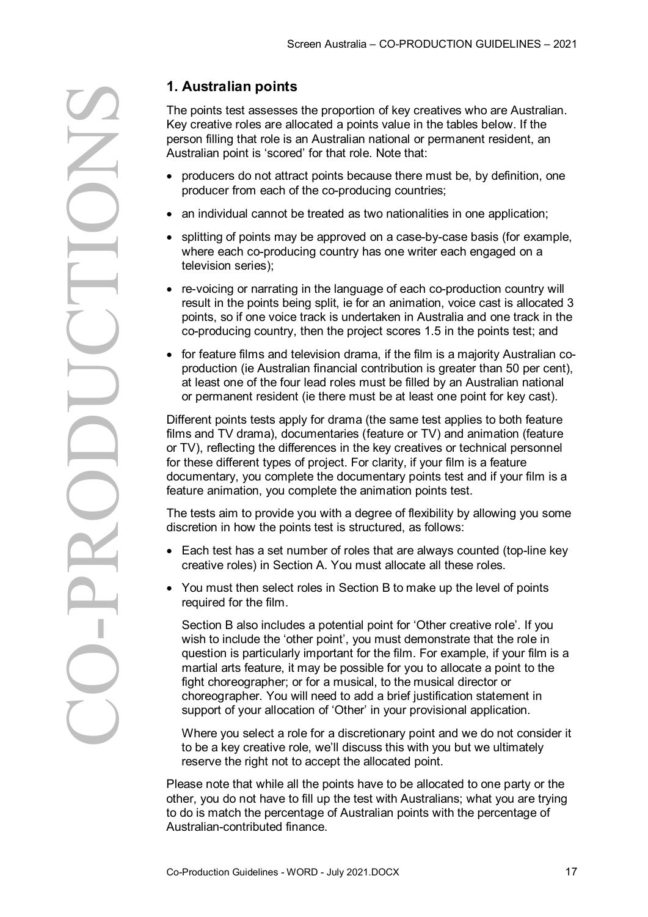The points test assesses the proportion of key creatives who are Australian. Key creative roles are allocated a points value in the tables below. If the person filling that role is an Australian national or permanent resident, an Australian point is 'scored' for that role. Note that:

- producers do not attract points because there must be, by definition, one producer from each of the co-producing countries;
- an individual cannot be treated as two nationalities in one application;
- splitting of points may be approved on a case-by-case basis (for example, where each co-producing country has one writer each engaged on a television series);
- re-voicing or narrating in the language of each co-production country will result in the points being split, ie for an animation, voice cast is allocated 3 points, so if one voice track is undertaken in Australia and one track in the co-producing country, then the project scores 1.5 in the points test; and
- for feature films and television drama, if the film is a majority Australian coproduction (ie Australian financial contribution is greater than 50 per cent), at least one of the four lead roles must be filled by an Australian national or permanent resident (ie there must be at least one point for key cast).

Different points tests apply for drama (the same test applies to both feature films and TV drama), documentaries (feature or TV) and animation (feature or TV), reflecting the differences in the key creatives or technical personnel for these different types of project. For clarity, if your film is a feature documentary, you complete the documentary points test and if your film is a feature animation, you complete the animation points test.

The tests aim to provide you with a degree of flexibility by allowing you some discretion in how the points test is structured, as follows:

- Each test has a set number of roles that are always counted (top-line key creative roles) in Section A. You must allocate all these roles.
- You must then select roles in Section B to make up the level of points required for the film.

Section B also includes a potential point for 'Other creative role'. If you wish to include the 'other point', you must demonstrate that the role in question is particularly important for the film. For example, if your film is a martial arts feature, it may be possible for you to allocate a point to the fight choreographer; or for a musical, to the musical director or choreographer. You will need to add a brief justification statement in support of your allocation of 'Other' in your provisional application.

Where you select a role for a discretionary point and we do not consider it to be a key creative role, we'll discuss this with you but we ultimately reserve the right not to accept the allocated point.

Please note that while all the points have to be allocated to one party or the other, you do not have to fill up the test with Australians; what you are trying to do is match the percentage of Australian points with the percentage of Australian-contributed finance.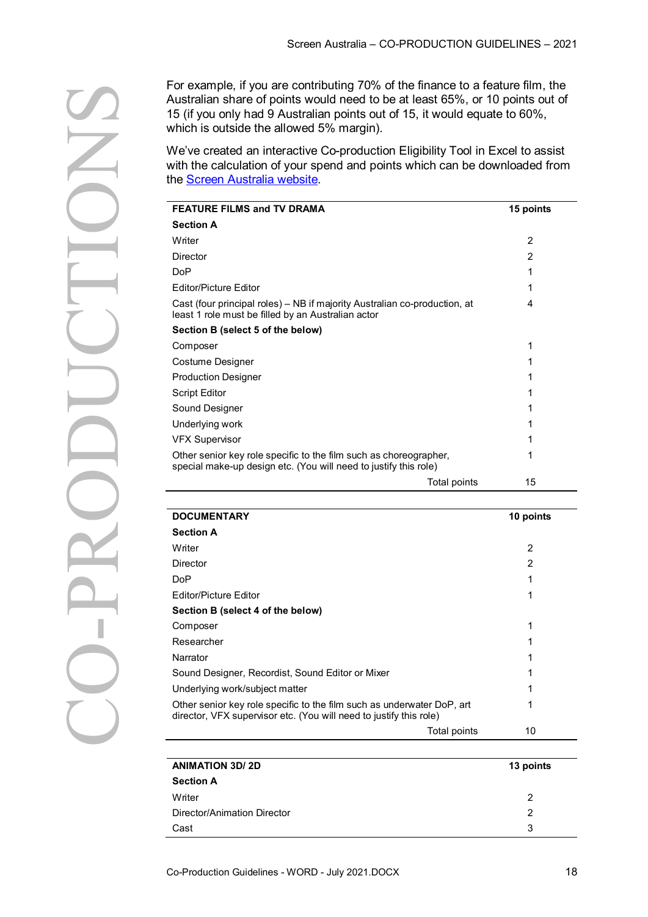| For example, if you are contributing 70% of the finance to a feature film, the<br>Australian share of points would need to be at least 65%, or 10 points out of<br>15 (if you only had 9 Australian points out of 15, it would equate to 60%,<br>which is outside the allowed 5% margin). |                |  |  |
|-------------------------------------------------------------------------------------------------------------------------------------------------------------------------------------------------------------------------------------------------------------------------------------------|----------------|--|--|
| We've created an interactive Co-production Eligibility Tool in Excel to assist<br>with the calculation of your spend and points which can be downloaded from<br>the Screen Australia website.                                                                                             |                |  |  |
| <b>FEATURE FILMS and TV DRAMA</b>                                                                                                                                                                                                                                                         | 15 points      |  |  |
| <b>Section A</b>                                                                                                                                                                                                                                                                          |                |  |  |
| Writer                                                                                                                                                                                                                                                                                    | 2              |  |  |
| <b>Director</b>                                                                                                                                                                                                                                                                           | $\overline{2}$ |  |  |
| <b>DoP</b>                                                                                                                                                                                                                                                                                | 1              |  |  |
| <b>Editor/Picture Editor</b>                                                                                                                                                                                                                                                              | 1              |  |  |
| Cast (four principal roles) - NB if majority Australian co-production, at<br>least 1 role must be filled by an Australian actor                                                                                                                                                           | 4              |  |  |
| Section B (select 5 of the below)                                                                                                                                                                                                                                                         |                |  |  |
| Composer                                                                                                                                                                                                                                                                                  | 1              |  |  |
| Costume Designer                                                                                                                                                                                                                                                                          | 1              |  |  |
| <b>Production Designer</b>                                                                                                                                                                                                                                                                | 1              |  |  |
| Script Editor                                                                                                                                                                                                                                                                             | 1              |  |  |
| Sound Designer                                                                                                                                                                                                                                                                            | 1              |  |  |
| Underlying work                                                                                                                                                                                                                                                                           | 1              |  |  |
| <b>VFX Supervisor</b>                                                                                                                                                                                                                                                                     | 1              |  |  |
| Other senior key role specific to the film such as choreographer,<br>special make-up design etc. (You will need to justify this role)                                                                                                                                                     | 1              |  |  |
| Total points                                                                                                                                                                                                                                                                              | 15             |  |  |
| <b>DOCUMENTARY</b>                                                                                                                                                                                                                                                                        | 10 points      |  |  |
| <b>Section A</b>                                                                                                                                                                                                                                                                          |                |  |  |
| Writer                                                                                                                                                                                                                                                                                    | 2              |  |  |
| <b>Director</b>                                                                                                                                                                                                                                                                           | $\overline{2}$ |  |  |
| <b>DoP</b>                                                                                                                                                                                                                                                                                | 1              |  |  |
| <b>Editor/Picture Editor</b>                                                                                                                                                                                                                                                              | 1              |  |  |
| Section B (select 4 of the below)                                                                                                                                                                                                                                                         |                |  |  |
| Composer                                                                                                                                                                                                                                                                                  | 1              |  |  |
|                                                                                                                                                                                                                                                                                           |                |  |  |

| <b>DOCUMENTARY</b>                                                                                                                           | 10 points     |
|----------------------------------------------------------------------------------------------------------------------------------------------|---------------|
| <b>Section A</b>                                                                                                                             |               |
| Writer                                                                                                                                       | $\mathcal{P}$ |
| Director                                                                                                                                     | 2             |
| <b>DoP</b>                                                                                                                                   |               |
| <b>Editor/Picture Editor</b>                                                                                                                 |               |
| Section B (select 4 of the below)                                                                                                            |               |
| Composer                                                                                                                                     |               |
| Researcher                                                                                                                                   |               |
| Narrator                                                                                                                                     |               |
| Sound Designer, Recordist, Sound Editor or Mixer                                                                                             |               |
| Underlying work/subject matter                                                                                                               |               |
| Other senior key role specific to the film such as underwater DoP, art<br>director, VFX supervisor etc. (You will need to justify this role) |               |
| Total points                                                                                                                                 | 10            |

| <b>ANIMATION 3D/2D</b>      | 13 points |  |
|-----------------------------|-----------|--|
| <b>Section A</b>            |           |  |
| Writer                      | 2         |  |
| Director/Animation Director | 2         |  |
| Cast                        | 3         |  |

**CO**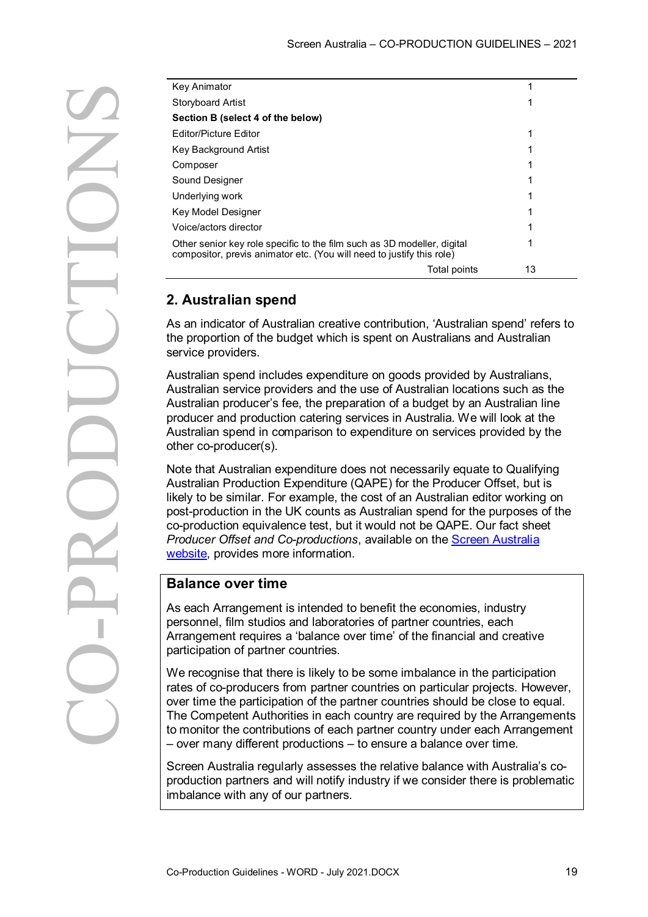| $\Box$<br>$\Box$<br>$\overline{\phantom{0}}$ |
|----------------------------------------------|
|                                              |
|                                              |
|                                              |
|                                              |
|                                              |
|                                              |

| Key Animator                                                                                                                                                                                                                                                                                                                                                                                                                 |                                                                                                                                                                                                                                                                                                                                                                                                                                                                                                                      |              | 1  |
|------------------------------------------------------------------------------------------------------------------------------------------------------------------------------------------------------------------------------------------------------------------------------------------------------------------------------------------------------------------------------------------------------------------------------|----------------------------------------------------------------------------------------------------------------------------------------------------------------------------------------------------------------------------------------------------------------------------------------------------------------------------------------------------------------------------------------------------------------------------------------------------------------------------------------------------------------------|--------------|----|
| <b>Storyboard Artist</b>                                                                                                                                                                                                                                                                                                                                                                                                     |                                                                                                                                                                                                                                                                                                                                                                                                                                                                                                                      |              | 1  |
|                                                                                                                                                                                                                                                                                                                                                                                                                              | Section B (select 4 of the below)                                                                                                                                                                                                                                                                                                                                                                                                                                                                                    |              |    |
| <b>Editor/Picture Editor</b>                                                                                                                                                                                                                                                                                                                                                                                                 |                                                                                                                                                                                                                                                                                                                                                                                                                                                                                                                      |              | 1  |
| Key Background Artist                                                                                                                                                                                                                                                                                                                                                                                                        |                                                                                                                                                                                                                                                                                                                                                                                                                                                                                                                      |              | 1  |
| Composer                                                                                                                                                                                                                                                                                                                                                                                                                     |                                                                                                                                                                                                                                                                                                                                                                                                                                                                                                                      |              | 1  |
| Sound Designer                                                                                                                                                                                                                                                                                                                                                                                                               |                                                                                                                                                                                                                                                                                                                                                                                                                                                                                                                      |              | 1  |
| Underlying work                                                                                                                                                                                                                                                                                                                                                                                                              |                                                                                                                                                                                                                                                                                                                                                                                                                                                                                                                      |              | 1  |
| Key Model Designer                                                                                                                                                                                                                                                                                                                                                                                                           |                                                                                                                                                                                                                                                                                                                                                                                                                                                                                                                      |              | 1  |
| Voice/actors director                                                                                                                                                                                                                                                                                                                                                                                                        |                                                                                                                                                                                                                                                                                                                                                                                                                                                                                                                      |              | 1  |
|                                                                                                                                                                                                                                                                                                                                                                                                                              | Other senior key role specific to the film such as 3D modeller, digital<br>compositor, previs animator etc. (You will need to justify this role)                                                                                                                                                                                                                                                                                                                                                                     |              | 1  |
|                                                                                                                                                                                                                                                                                                                                                                                                                              |                                                                                                                                                                                                                                                                                                                                                                                                                                                                                                                      | Total points | 13 |
| 2. Australian spend                                                                                                                                                                                                                                                                                                                                                                                                          | As an indicator of Australian creative contribution, 'Australian spend' refers to                                                                                                                                                                                                                                                                                                                                                                                                                                    |              |    |
| service providers.                                                                                                                                                                                                                                                                                                                                                                                                           | the proportion of the budget which is spent on Australians and Australian                                                                                                                                                                                                                                                                                                                                                                                                                                            |              |    |
| Australian spend includes expenditure on goods provided by Australians,<br>Australian service providers and the use of Australian locations such as the<br>Australian producer's fee, the preparation of a budget by an Australian line<br>producer and production catering services in Australia. We will look at the<br>Australian spend in comparison to expenditure on services provided by the<br>other co-producer(s). |                                                                                                                                                                                                                                                                                                                                                                                                                                                                                                                      |              |    |
|                                                                                                                                                                                                                                                                                                                                                                                                                              | Note that Australian expenditure does not necessarily equate to Qualifying<br>Australian Production Expenditure (QAPE) for the Producer Offset, but is<br>likely to be similar. For example, the cost of an Australian editor working on<br>post-production in the UK counts as Australian spend for the purposes of the<br>co-production equivalence test, but it would not be QAPE. Our fact sheet<br>Producer Offset and Co-productions, available on the Screen Australia<br>website, provides more information. |              |    |
| <b>Balance over time</b>                                                                                                                                                                                                                                                                                                                                                                                                     |                                                                                                                                                                                                                                                                                                                                                                                                                                                                                                                      |              |    |
|                                                                                                                                                                                                                                                                                                                                                                                                                              | As each Arrangement is intended to benefit the economies, industry<br>personnel, film studios and laboratories of partner countries, each<br>Arrangement requires a 'balance over time' of the financial and creative                                                                                                                                                                                                                                                                                                |              |    |

### **2. Australian spend**

#### **Balance over time**

As each Arrangement is intended to benefit the economies, industry personnel, film studios and laboratories of partner countries, each Arrangement requires a 'balance over time' of the financial and creative participation of partner countries.

We recognise that there is likely to be some imbalance in the participation rates of co-producers from partner countries on particular projects. However, over time the participation of the partner countries should be close to equal. The Competent Authorities in each country are required by the Arrangements to monitor the contributions of each partner country under each Arrangement – over many different productions – to ensure a balance over time.

Screen Australia regularly assesses the relative balance with Australia's coproduction partners and will notify industry if we consider there is problematic imbalance with any of our partners.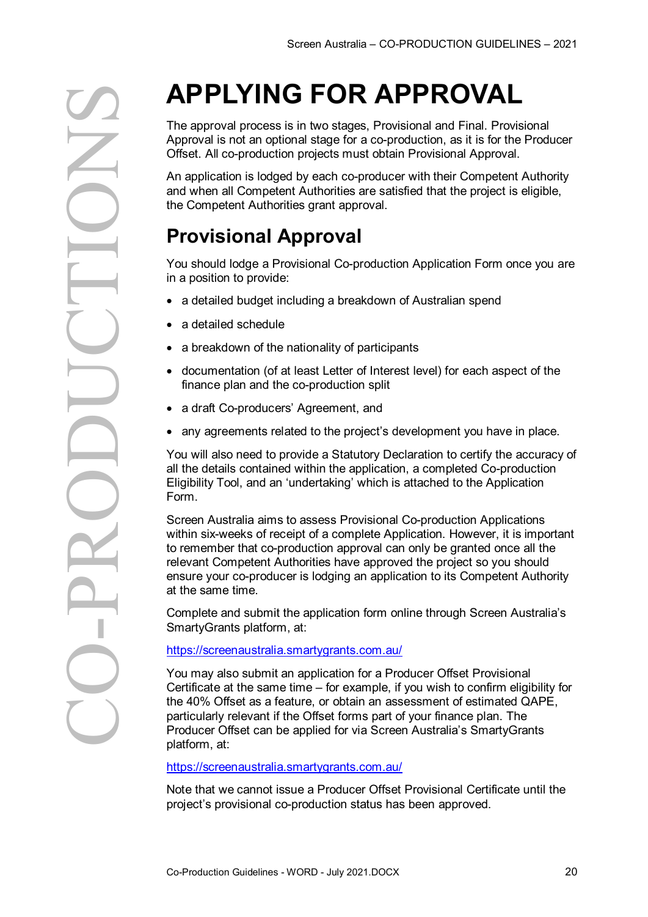<span id="page-19-0"></span>The approval process is in two stages, Provisional and Final. Provisional Approval is not an optional stage for a co-production, as it is for the Producer Offset. All co-production projects must obtain Provisional Approval.

An application is lodged by each co-producer with their Competent Authority and when all Competent Authorities are satisfied that the project is eligible, the Competent Authorities grant approval.

## <span id="page-19-1"></span>**Provisional Approval**

You should lodge a Provisional Co-production Application Form once you are in a position to provide:

- a detailed budget including a breakdown of Australian spend
- a detailed schedule
- a breakdown of the nationality of participants
- documentation (of at least Letter of Interest level) for each aspect of the finance plan and the co-production split
- a draft Co-producers' Agreement, and
- any agreements related to the project's development you have in place.

You will also need to provide a Statutory Declaration to certify the accuracy of all the details contained within the application, a completed Co-production Eligibility Tool, and an 'undertaking' which is attached to the Application Form.

Screen Australia aims to assess Provisional Co-production Applications within six-weeks of receipt of a complete Application. However, it is important to remember that co-production approval can only be granted once all the relevant Competent Authorities have approved the project so you should ensure your co-producer is lodging an application to its Competent Authority at the same time.

Complete and submit the application form online through Screen Australia's SmartyGrants platform, at:

#### <https://screenaustralia.smartygrants.com.au/>

You may also submit an application for a Producer Offset Provisional Certificate at the same time – for example, if you wish to confirm eligibility for the 40% Offset as a feature, or obtain an assessment of estimated QAPE, particularly relevant if the Offset forms part of your finance plan. The Producer Offset can be applied for via Screen Australia's SmartyGrants platform, at:

#### <https://screenaustralia.smartygrants.com.au/>

Note that we cannot issue a Producer Offset Provisional Certificate until the project's provisional co-production status has been approved.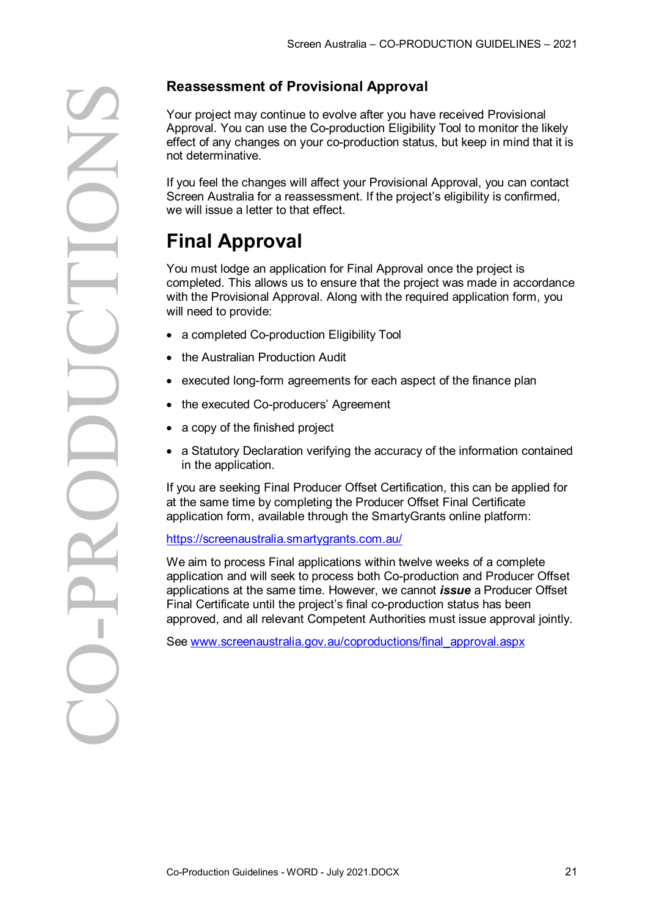Your project may continue to evolve after you have received Provisional Approval. You can use the Co-production Eligibility Tool to monitor the likely effect of any changes on your co-production status, but keep in mind that it is not determinative.

If you feel the changes will affect your Provisional Approval, you can contact Screen Australia for a reassessment. If the project's eligibility is confirmed, we will issue a letter to that effect.

## <span id="page-20-0"></span>**Final Approval**

You must lodge an application for Final Approval once the project is completed. This allows us to ensure that the project was made in accordance with the Provisional Approval. Along with the required application form, you will need to provide:

- a completed Co-production Eligibility Tool
- the Australian Production Audit
- executed long-form agreements for each aspect of the finance plan
- the executed Co-producers' Agreement
- a copy of the finished project
- a Statutory Declaration verifying the accuracy of the information contained in the application.

If you are seeking Final Producer Offset Certification, this can be applied for at the same time by completing the Producer Offset Final Certificate application form, available through the SmartyGrants online platform:

#### <https://screenaustralia.smartygrants.com.au/>

We aim to process Final applications within twelve weeks of a complete application and will seek to process both Co-production and Producer Offset applications at the same time. However, we cannot *issue* a Producer Offset Final Certificate until the project's final co-production status has been approved, and all relevant Competent Authorities must issue approval jointly.

See [www.screenaustralia.gov.au/coproductions/final\\_approval.aspx](http://www.screenaustralia.gov.au/coproductions/final_approval.aspx)